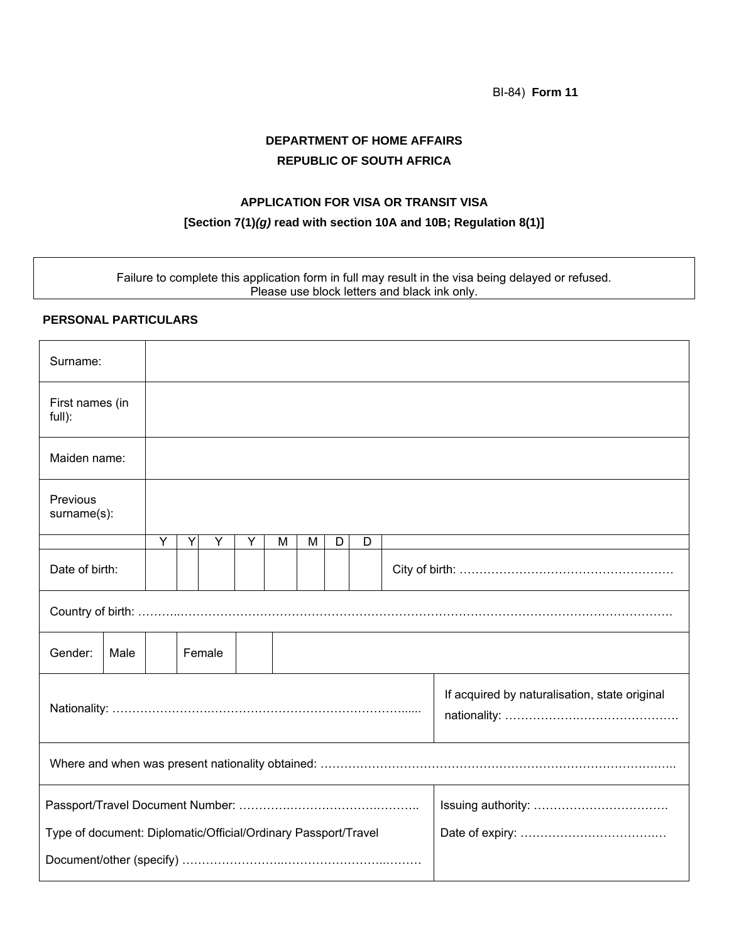BI-84) **Form 11**

# **DEPARTMENT OF HOME AFFAIRS REPUBLIC OF SOUTH AFRICA**

#### **APPLICATION FOR VISA OR TRANSIT VISA**

### **[Section 7(1)***(g)* **read with section 10A and 10B; Regulation 8(1)]**

Failure to complete this application form in full may result in the visa being delayed or refused. Please use block letters and black ink only.

### **PERSONAL PARTICULARS**

| Surname:                                                       |      |        |   |   |   |   |   |   |                                               |  |  |  |  |  |
|----------------------------------------------------------------|------|--------|---|---|---|---|---|---|-----------------------------------------------|--|--|--|--|--|
| First names (in<br>full):                                      |      |        |   |   |   |   |   |   |                                               |  |  |  |  |  |
| Maiden name:                                                   |      |        |   |   |   |   |   |   |                                               |  |  |  |  |  |
| Previous<br>surname(s):                                        |      |        |   |   |   |   |   |   |                                               |  |  |  |  |  |
|                                                                |      | Y      | Υ | Υ | Y | M | M | D | D                                             |  |  |  |  |  |
| Date of birth:                                                 |      |        |   |   |   |   |   |   |                                               |  |  |  |  |  |
|                                                                |      |        |   |   |   |   |   |   |                                               |  |  |  |  |  |
| Gender:                                                        | Male | Female |   |   |   |   |   |   |                                               |  |  |  |  |  |
|                                                                |      |        |   |   |   |   |   |   | If acquired by naturalisation, state original |  |  |  |  |  |
|                                                                |      |        |   |   |   |   |   |   |                                               |  |  |  |  |  |
|                                                                |      |        |   |   |   |   |   |   |                                               |  |  |  |  |  |
| Type of document: Diplomatic/Official/Ordinary Passport/Travel |      |        |   |   |   |   |   |   |                                               |  |  |  |  |  |
|                                                                |      |        |   |   |   |   |   |   |                                               |  |  |  |  |  |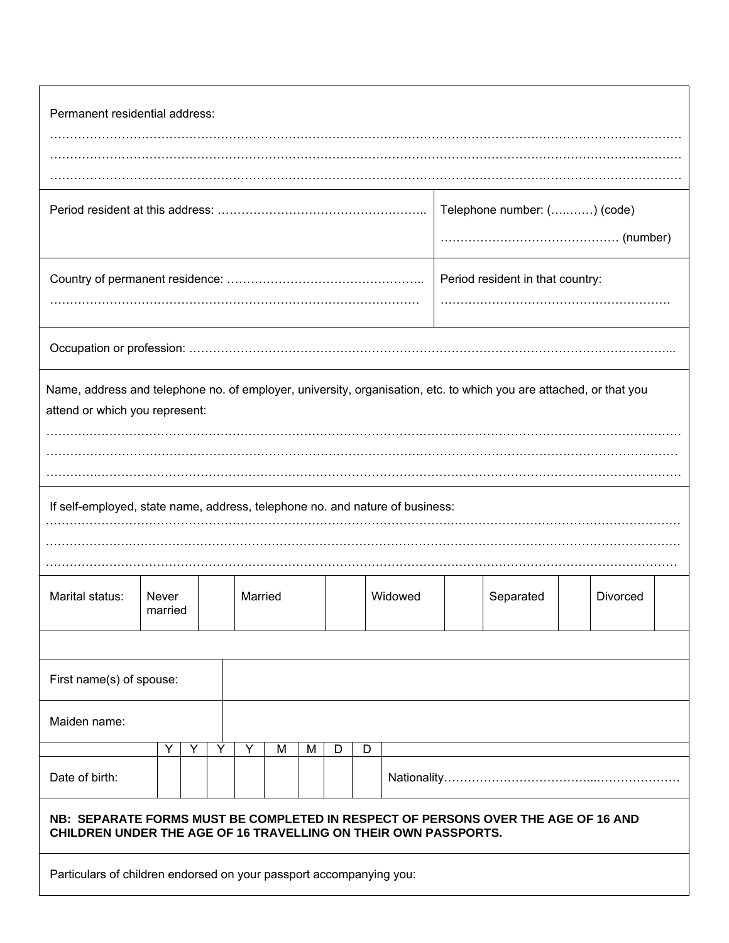| Permanent residential address:                                                                                                                       |  |   |   |         |   |   |   |         |   |  |           |  |          |  |  |
|------------------------------------------------------------------------------------------------------------------------------------------------------|--|---|---|---------|---|---|---|---------|---|--|-----------|--|----------|--|--|
|                                                                                                                                                      |  |   |   |         |   |   |   |         |   |  |           |  |          |  |  |
| Telephone number: () (code)                                                                                                                          |  |   |   |         |   |   |   |         |   |  |           |  |          |  |  |
| Period resident in that country:                                                                                                                     |  |   |   |         |   |   |   |         |   |  |           |  |          |  |  |
|                                                                                                                                                      |  |   |   |         |   |   |   |         |   |  |           |  |          |  |  |
| Name, address and telephone no. of employer, university, organisation, etc. to which you are attached, or that you<br>attend or which you represent: |  |   |   |         |   |   |   |         |   |  |           |  |          |  |  |
| If self-employed, state name, address, telephone no. and nature of business:                                                                         |  |   |   |         |   |   |   |         |   |  |           |  |          |  |  |
|                                                                                                                                                      |  |   |   |         |   |   |   |         |   |  |           |  |          |  |  |
| Marital status:<br>Never<br>married                                                                                                                  |  |   |   | Married |   |   |   | Widowed |   |  | Separated |  | Divorced |  |  |
|                                                                                                                                                      |  |   |   |         |   |   |   |         |   |  |           |  |          |  |  |
| First name(s) of spouse:                                                                                                                             |  |   |   |         |   |   |   |         |   |  |           |  |          |  |  |
| Maiden name:                                                                                                                                         |  |   |   |         |   |   |   |         |   |  |           |  |          |  |  |
|                                                                                                                                                      |  | Y | Y | Y       | Y | M | M | D       | D |  |           |  |          |  |  |
| Date of birth:                                                                                                                                       |  |   |   |         |   |   |   |         |   |  |           |  |          |  |  |
| NB: SEPARATE FORMS MUST BE COMPLETED IN RESPECT OF PERSONS OVER THE AGE OF 16 AND<br>CHILDREN UNDER THE AGE OF 16 TRAVELLING ON THEIR OWN PASSPORTS. |  |   |   |         |   |   |   |         |   |  |           |  |          |  |  |
| Particulars of children endorsed on your passport accompanying you:                                                                                  |  |   |   |         |   |   |   |         |   |  |           |  |          |  |  |

Г

٦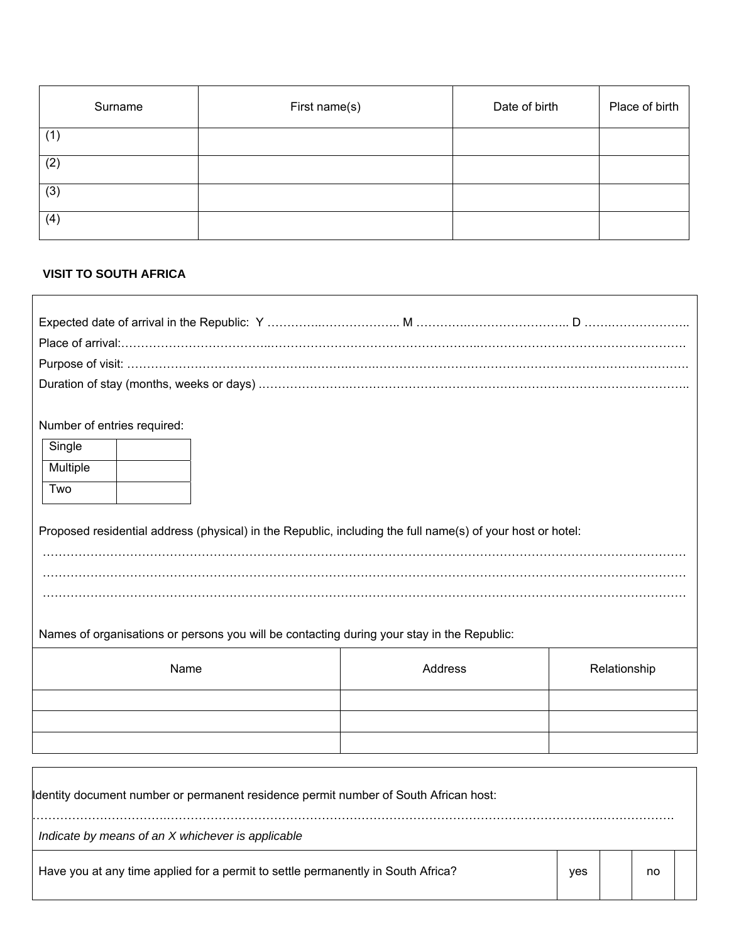| Surname | First name(s) | Date of birth | Place of birth |
|---------|---------------|---------------|----------------|
| (1)     |               |               |                |
| (2)     |               |               |                |
| (3)     |               |               |                |
| (4)     |               |               |                |

## **VISIT TO SOUTH AFRICA**

| Number of entries required:<br>Single                                                                      |         |     |              |    |  |
|------------------------------------------------------------------------------------------------------------|---------|-----|--------------|----|--|
| Multiple                                                                                                   |         |     |              |    |  |
| Two                                                                                                        |         |     |              |    |  |
|                                                                                                            |         |     |              |    |  |
| Proposed residential address (physical) in the Republic, including the full name(s) of your host or hotel: |         |     |              |    |  |
|                                                                                                            |         |     |              |    |  |
|                                                                                                            |         |     |              |    |  |
|                                                                                                            |         |     |              |    |  |
| Names of organisations or persons you will be contacting during your stay in the Republic:                 |         |     |              |    |  |
| Name                                                                                                       | Address |     | Relationship |    |  |
|                                                                                                            |         |     |              |    |  |
|                                                                                                            |         |     |              |    |  |
|                                                                                                            |         |     |              |    |  |
|                                                                                                            |         |     |              |    |  |
|                                                                                                            |         |     |              |    |  |
| Identity document number or permanent residence permit number of South African host:                       |         |     |              |    |  |
| Indicate by means of an X whichever is applicable                                                          |         |     |              |    |  |
| Have you at any time applied for a permit to settle permanently in South Africa?                           |         | yes |              | no |  |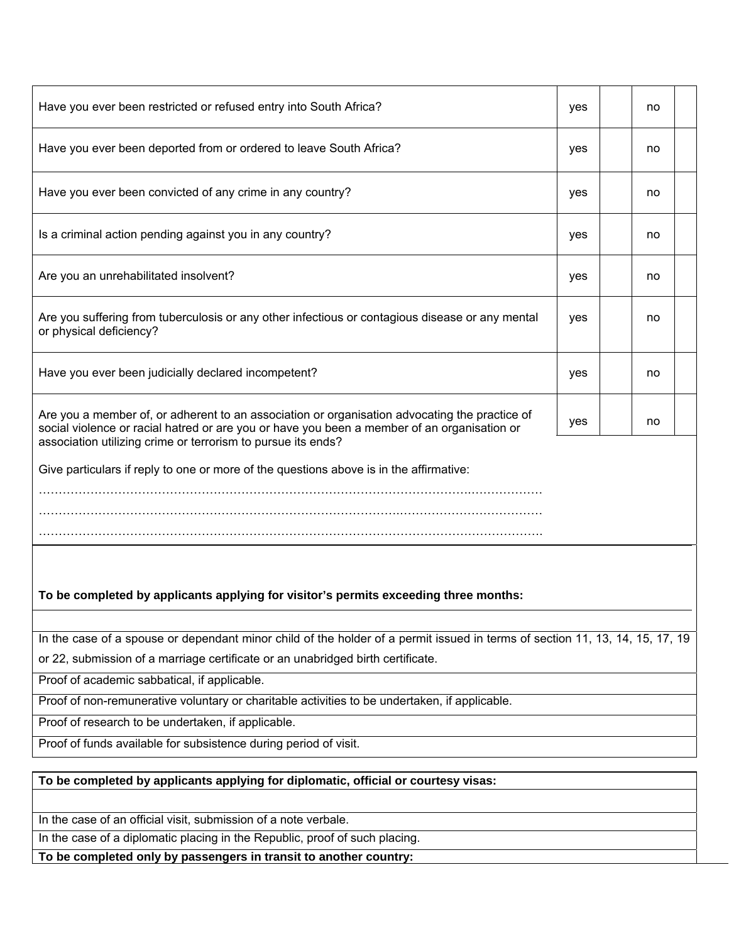| Have you ever been restricted or refused entry into South Africa?                                                                                                                                                                                            | yes |  | no |  |  |  |  |  |  |
|--------------------------------------------------------------------------------------------------------------------------------------------------------------------------------------------------------------------------------------------------------------|-----|--|----|--|--|--|--|--|--|
| Have you ever been deported from or ordered to leave South Africa?                                                                                                                                                                                           | yes |  | no |  |  |  |  |  |  |
| Have you ever been convicted of any crime in any country?                                                                                                                                                                                                    | yes |  | no |  |  |  |  |  |  |
| Is a criminal action pending against you in any country?                                                                                                                                                                                                     | yes |  | no |  |  |  |  |  |  |
| Are you an unrehabilitated insolvent?                                                                                                                                                                                                                        | yes |  | no |  |  |  |  |  |  |
| Are you suffering from tuberculosis or any other infectious or contagious disease or any mental<br>or physical deficiency?                                                                                                                                   | yes |  | no |  |  |  |  |  |  |
| Have you ever been judicially declared incompetent?                                                                                                                                                                                                          | yes |  | no |  |  |  |  |  |  |
| Are you a member of, or adherent to an association or organisation advocating the practice of<br>social violence or racial hatred or are you or have you been a member of an organisation or<br>association utilizing crime or terrorism to pursue its ends? | yes |  | no |  |  |  |  |  |  |
| Give particulars if reply to one or more of the questions above is in the affirmative:                                                                                                                                                                       |     |  |    |  |  |  |  |  |  |
|                                                                                                                                                                                                                                                              |     |  |    |  |  |  |  |  |  |
|                                                                                                                                                                                                                                                              |     |  |    |  |  |  |  |  |  |
| To be completed by applicants applying for visitor's permits exceeding three months:                                                                                                                                                                         |     |  |    |  |  |  |  |  |  |
|                                                                                                                                                                                                                                                              |     |  |    |  |  |  |  |  |  |
| In the case of a spouse or dependant minor child of the holder of a permit issued in terms of section 11, 13, 14, 15, 17, 19<br>or 22, submission of a marriage certificate or an unabridged birth certificate.                                              |     |  |    |  |  |  |  |  |  |
| Proof of academic sabbatical, if applicable.                                                                                                                                                                                                                 |     |  |    |  |  |  |  |  |  |
| Proof of non-remunerative voluntary or charitable activities to be undertaken, if applicable.                                                                                                                                                                |     |  |    |  |  |  |  |  |  |
| Proof of research to be undertaken, if applicable.                                                                                                                                                                                                           |     |  |    |  |  |  |  |  |  |
| Proof of funds available for subsistence during period of visit.                                                                                                                                                                                             |     |  |    |  |  |  |  |  |  |
|                                                                                                                                                                                                                                                              |     |  |    |  |  |  |  |  |  |
| To be completed by applicants applying for diplomatic, official or courtesy visas:                                                                                                                                                                           |     |  |    |  |  |  |  |  |  |
| In the case of an official visit, submission of a note verbale.                                                                                                                                                                                              |     |  |    |  |  |  |  |  |  |
| In the case of a diplomatic placing in the Republic, proof of such placing.                                                                                                                                                                                  |     |  |    |  |  |  |  |  |  |
| To be completed only by passengers in transit to another country:                                                                                                                                                                                            |     |  |    |  |  |  |  |  |  |